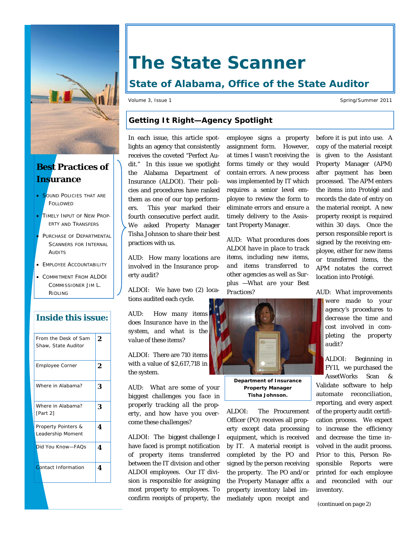

# **Best Practices of Insurance**

- **SOUND POLICIES THAT ARE FOLLOWED**
- TIMELY INPUT OF NEW PROP-ERTY AND TRANSFERS
- PURCHASE OF DEPARTMENTAL SCANNERS FOR INTERNAL AUDITS
- **EMPLOYEE ACCOUNTABILITY**
- COMMITMENT FROM ALDOI COMMISSIONER JIM L. RIDLING

## **Inside this issue:**

| From the Desk of Sam<br>Shaw, State Auditor | 2 |
|---------------------------------------------|---|
| Employee Corner                             | 2 |
| Where in Alabama?                           | 3 |
| Where in Alabama?<br>[Part 2]               | 3 |
| Property Pointers &<br>Leadership Moment    | 4 |
| Did You Know-FAOs                           | 4 |
| <b>Contact Information</b>                  | 4 |

# **The State Scanner**

# **State of Alabama, Office of the State Auditor**

Volume 3, Issue 1 Spring/Summer 2011

## **Getting It Right—Agency Spotlight**

In each issue, this article spotlights an agency that consistently receives the coveted "Perfect Audit." In this issue we spotlight the Alabama Department of Insurance (ALDOI). Their policies and procedures have ranked them as one of our top performers. This year marked their fourth consecutive perfect audit. We asked Property Manager Tisha Johnson to share their best practices with us.

*AUD: How many locations are involved in the Insurance property audit?* 

ALDOI: We have two (2) locations audited each cycle.

*AUD: How many items does Insurance have in the system, and what is the value of these items?* 

ALDOI: There are 710 items with a value of \$2,617,718 in the system.

*AUD: What are some of your biggest challenges you face in properly tracking all the property, and how have you overcome these challenges?* 

ALDOI: The biggest challenge I have faced is prompt notification of property items transferred between the IT division and other ALDOI employees. Our IT division is responsible for assigning most property to employees. To confirm receipts of property, the

employee signs a property assignment form. However, at times I wasn't receiving the forms timely or they would contain errors. A new process was implemented by IT which requires a senior level employee to review the form to eliminate errors and ensure a timely delivery to the Assistant Property Manager.

*AUD: What procedures does ALDOI have in place to track items, including new items, and items transferred to other agencies as well as Surplus —What are your Best Practices?* 



**Department of Insurance Property Manager Tisha Johnson.** 

ALDOI: The Procurement Officer (PO) receives all property except data processing equipment, which is received by IT. A material receipt is completed by the PO and signed by the person receiving the property. The PO and/or the Property Manager affix a property inventory label immediately upon receipt and

before it is put into use. A copy of the material receipt is given to the Assistant Property Manager (APM) after payment has been processed. The APM enters the items into Protégé and records the date of entry on the material receipt. A new property receipt is required within 30 days. Once the person responsible report is signed by the receiving employee, either for new items or transferred items, the APM notates the correct location into Protégé.

*AUD: What improvements were made to your agency's procedures to decrease the time and cost involved in completing the property audit?* 

ALDOI: Beginning in FY11, we purchased the AssetWorks Scan & Validate software to help automate reconciliation, reporting, and every aspect of the property audit certification process. We expect to increase the efficiency and decrease the time involved in the audit process. Prior to this, Person Responsible Reports were printed for each employee and reconciled with our inventory.

*(continued on page 2)*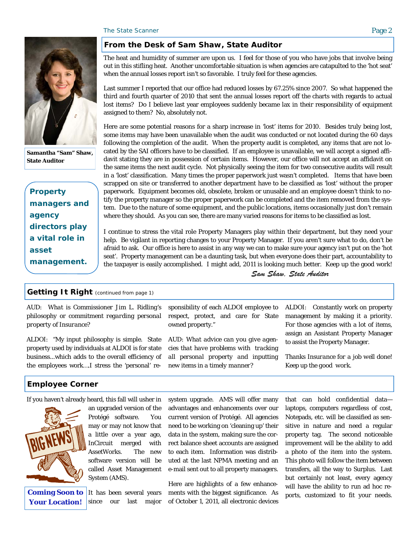

**Samantha "Sam" Shaw, State Auditor** 

*Property managers and agency directors play a vital role in asset management.* 

#### **From the Desk of Sam Shaw, State Auditor**

The heat and humidity of summer are upon us. I feel for those of you who have jobs that involve being out in this stifling heat. Another uncomfortable situation is when agencies are catapulted to the 'hot seat' when the annual losses report isn't so favorable. I truly feel for these agencies.

Last summer I reported that our office had reduced losses by 67.25% since 2007. So what happened the third and fourth quarter of 2010 that sent the annual losses report off the charts with regards to actual lost items? Do I believe last year employees suddenly became lax in their responsibility of equipment assigned to them? No, absolutely not.

Here are some potential reasons for a sharp increase in 'lost' items for 2010. Besides truly being lost, some items may have been unavailable when the audit was conducted or not located during the 60 days following the completion of the audit. When the property audit is completed, any items that are not located by the SAI officers have to be classified. If an employee is unavailable, we will accept a signed affidavit stating they are in possession of certain items. However, our office will not accept an affidavit on the same items the next audit cycle. Not physically seeing the item for two consecutive audits will result in a 'lost' classification. Many times the proper paperwork just wasn't completed. Items that have been scrapped on site or transferred to another department have to be classified as 'lost' without the proper paperwork. Equipment becomes old, obsolete, broken or unusable and an employee doesn't think to notify the property manager so the proper paperwork can be completed and the item removed from the system. Due to the nature of some equipment, and the public locations, items occasionally just don't remain where they should. As you can see, there are many varied reasons for items to be classified as lost.

I continue to stress the vital role Property Managers play within their department, but they need your help. Be vigilant in reporting changes to your Property Manager. If you aren't sure what to do, don't be afraid to ask. Our office is here to assist in any way we can to make sure your agency isn't put on the 'hot seat'. Property management can be a daunting task, but when everyone does their part, accountability to the taxpayer is easily accomplished. I might add, 2011 is looking much better. Keep up the good work!

*Sam Shaw, State Auditor*

#### **Getting It Right** *(continued from page 1)*

*AUD: What is Commissioner Jim L. Ridling's philosophy or commitment regarding personal property of Insurance?* 

ALDOI: "My input philosophy is simple. State property used by individuals at ALDOI is for state business...which adds to the overall efficiency of the employees work….I stress the 'personal' re-

#### **Employee Corner**

If you haven't already heard, this fall will usher in



**Coming Soon to Your Location!** 

an upgraded version of the Protégé software. You may or may not know that a little over a year ago, InCircuit merged with AssetWorks. The new software version will be called Asset Management System (AMS).

It has been several years since our last major system upgrade. AMS will offer many advantages and enhancements over our current version of Protégé. All agencies need to be working on 'cleaning up' their data in the system, making sure the correct balance sheet accounts are assigned to each item. Information was distributed at the last NPMA meeting and an e-mail sent out to all property managers.

sponsibility of each ALDOI employee to respect, protect, and care for State

*AUD: What advice can you give agencies that have problems with tracking all personal property and inputting* 

*new items in a timely manner?* 

owned property."

Here are highlights of a few enhancements with the biggest significance. As of October 1, 2011, all electronic devices that can hold confidential data laptops, computers regardless of cost, Notepads, etc. will be classified as sensitive in nature and need a regular property tag. The second noticeable improvement will be the ability to add a photo of the item into the system. This photo will follow the item between transfers, all the way to Surplus. Last but certainly not least, every agency will have the ability to run ad hoc reports, customized to fit your needs.

ALDOI: Constantly work on property management by making it a priority. For those agencies with a lot of items, assign an Assistant Property Manager

*Thanks Insurance for a job well done!* 

to assist the Property Manager.

*Keep up the good work.*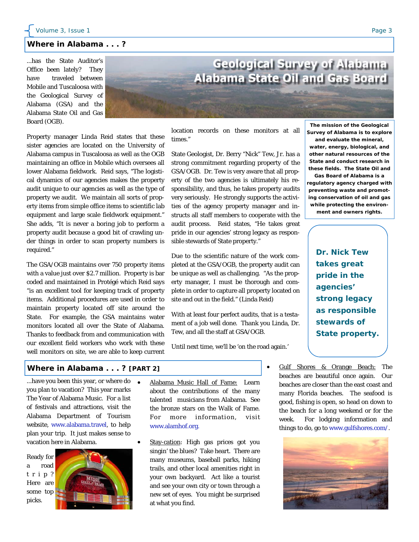#### **Where in Alabama . . . ?**

...has the State Auditor's Office been lately? They have traveled between Mobile and Tuscaloosa with the Geological Survey of Alabama (GSA) and the Alabama State Oil and Gas Board (OGB).



Property manager Linda Reid states that these sister agencies are located on the University of Alabama campus in Tuscaloosa as well as the OGB maintaining an office in Mobile which oversees all lower Alabama fieldwork. Reid says, "The logistical dynamics of our agencies makes the property audit unique to our agencies as well as the type of property we audit. We maintain all sorts of property items from simple office items to scientific lab equipment and large scale fieldwork equipment." She adds, "It is never a boring job to perform a property audit because a good bit of crawling under things in order to scan property numbers is required."

The GSA/OGB maintains over 750 property items with a value just over \$2.7 million. Property is bar coded and maintained in Protégé which Reid says "is an excellent tool for keeping track of property items. Additional procedures are used in order to maintain property located off site around the State. For example, the GSA maintains water monitors located all over the State of Alabama. Thanks to feedback from and communication with our excellent field workers who work with these well monitors on site, we are able to keep current

location records on these monitors at all times."

State Geologist, Dr. Berry "Nick" Tew, Jr. has a strong commitment regarding property of the GSA/OGB. Dr. Tew is very aware that all property of the two agencies is ultimately his responsibility, and thus, he takes property audits very seriously. He strongly supports the activities of the agency property manager and instructs all staff members to cooperate with the audit process. Reid states, "He takes great pride in our agencies' strong legacy as responsible stewards of State property."

Due to the scientific nature of the work completed at the GSA/OGB, the property audit can be unique as well as challenging. "As the property manager, I must be thorough and complete in order to capture all property located on site and out in the field." (Linda Reid)

With at least four perfect audits, that is a testament of a job well done. Thank you Linda, Dr. Tew, and all the staff at GSA/OGB.

Until next time, we'll be 'on the road again.'

**The mission of the Geological Survey of Alabama is to explore** 

**and evaluate the mineral, water, energy, biological, and other natural resources of the State and conduct research in these fields. The State Oil and** 

**Gas Board of Alabama is a regulatory agency charged with preventing waste and promoting conservation of oil and gas while protecting the environ-**

**ment and owners rights.** 

*Dr. Nick Tew takes great pride in the agencies' strong legacy as responsible stewards of State property.* 

#### **Where in Alabama . . . ? [PART 2]**

...have you been this year, or where do you plan to vacation? This year marks The Year of Alabama Music. For a list of festivals and attractions, visit the Alabama Department of Tourism website, www.alabama.travel, to help plan your trip. It just makes sense to vacation here in Alabama.

Ready for a road t r i p ? Here are some top picks.



- Alabama Music Hall of Fame: Learn about the contributions of the many talented musicians from Alabama. See the bronze stars on the Walk of Fame. For more information, visit www.alamhof.org.
- Stay-cation: High gas prices got you singin' the blues? Take heart. There are many museums, baseball parks, hiking trails, and other local amenities right in your own backyard. Act like a tourist and see your own city or town through a new set of eyes. You might be surprised at what you find.
- Gulf Shores & Orange Beach: The beaches are beautiful once again. Our beaches are closer than the east coast and many Florida beaches. The seafood is good, fishing is open, so head on down to the beach for a long weekend or for the week. For lodging information and things to do, go to www.gulfshores.com/.